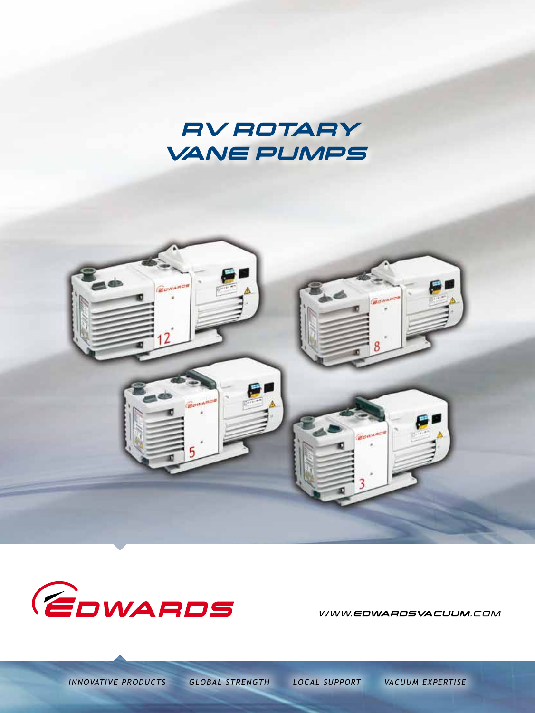





WWW.EDWARDSVACUUM.COM

*INNOVATIVE PRODUCTS GLOBAL STRENGTH LOCAL SUPPORT VACUUM EXPERTISE*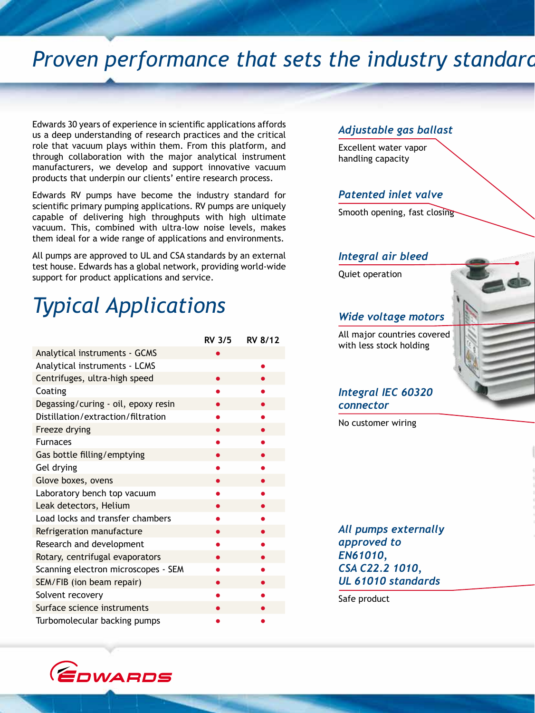### *Proven performance that sets the industry standard*

Edwards 30 years of experience in scientific applications affords us a deep understanding of research practices and the critical role that vacuum plays within them. From this platform, and through collaboration with the major analytical instrument manufacturers, we develop and support innovative vacuum products that underpin our clients' entire research process.

Edwards RV pumps have become the industry standard for scientific primary pumping applications. RV pumps are uniquely capable of delivering high throughputs with high ultimate vacuum. This, combined with ultra-low noise levels, makes them ideal for a wide range of applications and environments.

All pumps are approved to UL and CSA standards by an external test house. Edwards has a global network, providing world-wide support for product applications and service.

## *Typical Applications*

|                                     | <b>RV 3/5</b> | <b>RV 8/12</b> |
|-------------------------------------|---------------|----------------|
| Analytical instruments - GCMS       |               |                |
| Analytical instruments - LCMS       |               |                |
| Centrifuges, ultra-high speed       |               |                |
| Coating                             |               |                |
| Degassing/curing - oil, epoxy resin |               |                |
| Distillation/extraction/filtration  |               |                |
| Freeze drying                       |               |                |
| <b>Furnaces</b>                     |               |                |
| Gas bottle filling/emptying         |               |                |
| Gel drying                          |               |                |
| Glove boxes, ovens                  |               |                |
| Laboratory bench top vacuum         |               |                |
| Leak detectors, Helium              |               |                |
| Load locks and transfer chambers    |               |                |
| Refrigeration manufacture           |               |                |
| Research and development            |               |                |
| Rotary, centrifugal evaporators     |               |                |
| Scanning electron microscopes - SEM |               |                |
| SEM/FIB (ion beam repair)           |               |                |
| Solvent recovery                    |               |                |
| Surface science instruments         |               |                |
| Turbomolecular backing pumps        |               |                |

#### *Adjustable gas ballast*

Excellent water vapor handling capacity

### *Patented inlet valve*

Smooth opening, fast closing

#### *Integral air bleed*

Quiet operation

#### *Wide voltage motors*

All major countries covered with less stock holding

### *Integral IEC 60320 connector*

No customer wiring

*All pumps externally approved to EN61010, CSA C22.2 1010, UL 61010 standards*

Safe product

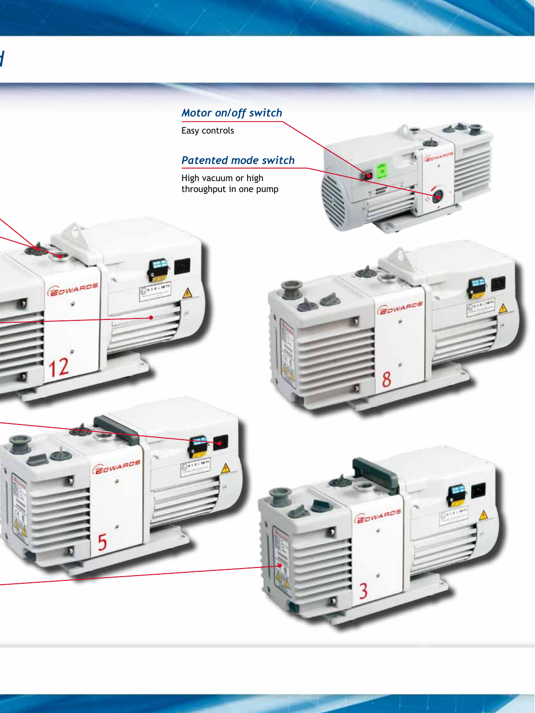

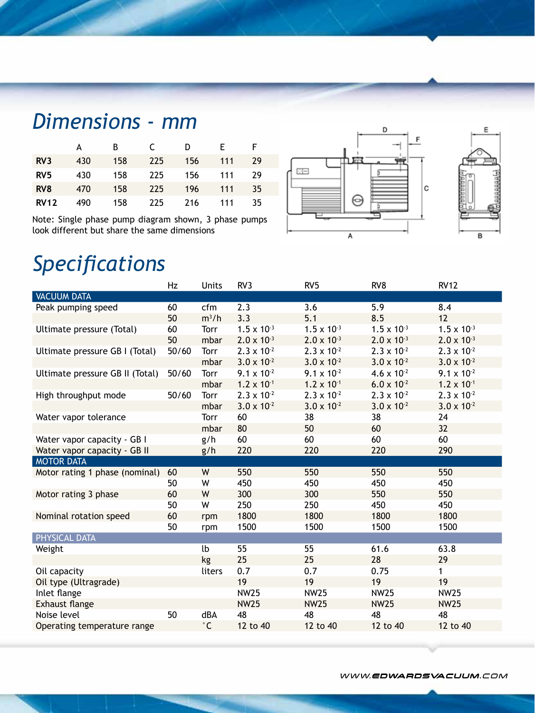## *Dimensions - mm*

|                 | А   | B   |     | D   | F.  | F. |
|-----------------|-----|-----|-----|-----|-----|----|
| RV <sub>3</sub> | 430 | 158 | 225 | 156 | 111 | 29 |
| RV <sub>5</sub> | 430 | 158 | 225 | 156 | 111 | 29 |
| RV <sub>8</sub> | 470 | 158 | 225 | 196 | 111 | 35 |
| <b>RV12</b>     | 490 | 158 | 225 | 216 | 111 | 35 |

Note: Single phase pump diagram shown, 3 phase pumps look different but share the same dimensions



### *Specifications*

|                                 | Hz    | Units               | RV3                  | RV <sub>5</sub>      | RV8                  | <b>RV12</b>          |
|---------------------------------|-------|---------------------|----------------------|----------------------|----------------------|----------------------|
| <b>VACUUM DATA</b>              |       |                     |                      |                      |                      |                      |
| Peak pumping speed              | 60    | cfm                 | 2.3                  | 3.6                  | 5.9                  | 8.4                  |
|                                 | 50    | $m^3/h$             | 3.3                  | 5.1                  | 8.5                  | 12                   |
| Ultimate pressure (Total)       | 60    | <b>Torr</b>         | $1.5 \times 10^{-3}$ | $1.5 \times 10^{-3}$ | $1.5 \times 10^{-3}$ | $1.5 \times 10^{-3}$ |
|                                 | 50    | mbar                | $2.0 \times 10^{-3}$ | $2.0 \times 10^{-3}$ | $2.0 \times 10^{-3}$ | $2.0 \times 10^{-3}$ |
| Ultimate pressure GB I (Total)  | 50/60 | Torr                | $2.3 \times 10^{-2}$ | $2.3 \times 10^{-2}$ | $2.3 \times 10^{-2}$ | $2.3 \times 10^{-2}$ |
|                                 |       | mbar                | $3.0 \times 10^{-2}$ | $3.0 \times 10^{-2}$ | $3.0 \times 10^{-2}$ | $3.0 \times 10^{-2}$ |
| Ultimate pressure GB II (Total) | 50/60 | Torr                | $9.1 \times 10^{-2}$ | $9.1 \times 10^{-2}$ | $4.6 \times 10^{-2}$ | $9.1 \times 10^{-2}$ |
|                                 |       | mbar                | $1.2 \times 10^{-1}$ | $1.2 \times 10^{-1}$ | $6.0 \times 10^{-2}$ | $1.2 \times 10^{-1}$ |
| High throughput mode            | 50/60 | Torr                | $2.3 \times 10^{-2}$ | $2.3 \times 10^{-2}$ | $2.3 \times 10^{-2}$ | $2.3 \times 10^{-2}$ |
|                                 |       | mbar                | $3.0 \times 10^{-2}$ | $3.0 \times 10^{-2}$ | $3.0 \times 10^{-2}$ | $3.0 \times 10^{-2}$ |
| Water vapor tolerance           |       | Torr                | 60                   | 38                   | 38                   | 24                   |
|                                 |       | mbar                | 80                   | 50                   | 60                   | 32                   |
| Water vapor capacity - GB I     |       | g/h                 | 60                   | 60                   | 60                   | 60                   |
| Water vapor capacity - GB II    |       | g/h                 | 220                  | 220                  | 220                  | 290                  |
| <b>MOTOR DATA</b>               |       |                     |                      |                      |                      |                      |
| Motor rating 1 phase (nominal)  | 60    | W                   | 550                  | 550                  | 550                  | 550                  |
|                                 | 50    | W                   | 450                  | 450                  | 450                  | 450                  |
| Motor rating 3 phase            | 60    | W                   | 300                  | 300                  | 550                  | 550                  |
|                                 | 50    | W                   | 250                  | 250                  | 450                  | 450                  |
| Nominal rotation speed          | 60    | rpm                 | 1800                 | 1800                 | 1800                 | 1800                 |
|                                 | 50    | rpm                 | 1500                 | 1500                 | 1500                 | 1500                 |
| <b>PHYSICAL DATA</b>            |       |                     |                      |                      |                      |                      |
| Weight                          |       | lb                  | 55                   | 55                   | 61.6                 | 63.8                 |
|                                 |       | kg                  | 25                   | 25                   | 28                   | 29                   |
| Oil capacity                    |       | liters              | 0.7                  | 0.7                  | 0.75                 | $\mathbf{1}$         |
| Oil type (Ultragrade)           |       |                     | 19                   | 19                   | 19                   | 19                   |
| Inlet flange                    |       |                     | <b>NW25</b>          | <b>NW25</b>          | <b>NW25</b>          | <b>NW25</b>          |
| Exhaust flange                  |       |                     | <b>NW25</b>          | <b>NW25</b>          | <b>NW25</b>          | <b>NW25</b>          |
| Noise level                     | 50    | dBA                 | 48                   | 48                   | 48                   | 48                   |
| Operating temperature range     |       | $^\circ \mathsf{C}$ | 12 to 40             | 12 to 40             | 12 to 40             | 12 to 40             |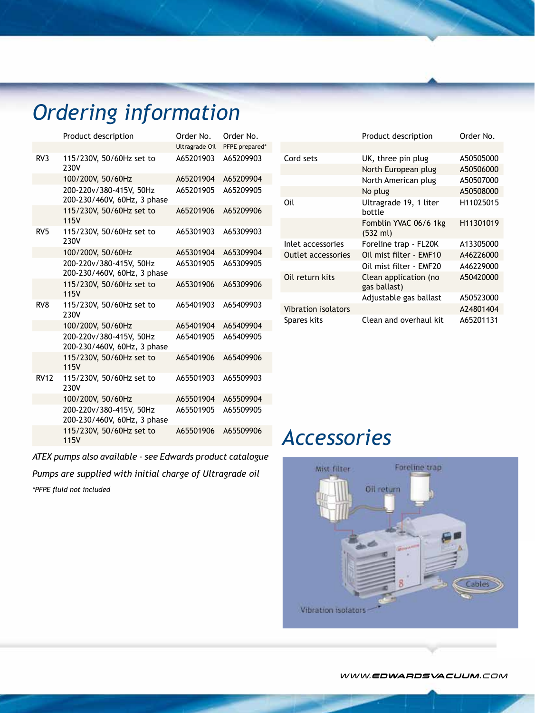# *Ordering information*

|                 | Product description                                    | Order No.      | Order No.      |
|-----------------|--------------------------------------------------------|----------------|----------------|
|                 |                                                        | Ultragrade Oil | PFPE prepared* |
| RV3             | 115/230V, 50/60Hz set to<br>230V                       | A65201903      | A65209903      |
|                 | 100/200V, 50/60Hz                                      | A65201904      | A65209904      |
|                 | 200-220v/380-415V, 50Hz<br>200-230/460V, 60Hz, 3 phase | A65201905      | A65209905      |
|                 | 115/230V, 50/60Hz set to<br><b>115V</b>                | A65201906      | A65209906      |
| RV <sub>5</sub> | 115/230V, 50/60Hz set to<br>230V                       | A65301903      | A65309903      |
|                 | 100/200V, 50/60Hz                                      | A65301904      | A65309904      |
|                 | 200-220v/380-415V, 50Hz<br>200-230/460V, 60Hz, 3 phase | A65301905      | A65309905      |
|                 | 115/230V, 50/60Hz set to<br><b>115V</b>                | A65301906      | A65309906      |
| RV <sub>8</sub> | 115/230V, 50/60Hz set to<br>230V                       | A65401903      | A65409903      |
|                 | 100/200V, 50/60Hz                                      | A65401904      | A65409904      |
|                 | 200-220v/380-415V, 50Hz<br>200-230/460V, 60Hz, 3 phase | A65401905      | A65409905      |
|                 | 115/230V, 50/60Hz set to<br><b>115V</b>                | A65401906      | A65409906      |
| <b>RV12</b>     | 115/230V, 50/60Hz set to<br>230V                       | A65501903      | A65509903      |
|                 | 100/200V, 50/60Hz                                      | A65501904      | A65509904      |
|                 | 200-220v/380-415V, 50Hz<br>200-230/460V, 60Hz, 3 phase | A65501905      | A65509905      |
|                 | 115/230V, 50/60Hz set to<br>115V                       | A65501906      | A65509906      |

*ATEX pumps also available - see Edwards product catalogue*

*Pumps are supplied with initial charge of Ultragrade oil*

*\*PFPE fluid not included*

|                            | <b>FIGULL UESCHIPLION</b>                   | UIUEI IIU. |
|----------------------------|---------------------------------------------|------------|
|                            |                                             |            |
| Cord sets                  | UK, three pin plug                          | A50505000  |
|                            | North European plug                         | A50506000  |
|                            | North American plug                         | A50507000  |
|                            | No plug                                     | A50508000  |
| Oil                        | Ultragrade 19, 1 liter<br>bottle            | H11025015  |
|                            | Fomblin YVAC 06/6 1kg<br>$(532 \text{ ml})$ | H11301019  |
| Inlet accessories          | Foreline trap - FL20K                       | A13305000  |
| <b>Outlet accessories</b>  | Oil mist filter - EMF10                     | A46226000  |
|                            | Oil mist filter - EMF20                     | A46229000  |
| Oil return kits            | Clean application (no<br>gas ballast)       | A50420000  |
|                            | Adjustable gas ballast                      | A50523000  |
| <b>Vibration isolators</b> |                                             | A24801404  |
| Spares kits                | Clean and overhaul kit                      | A65201131  |

Product description Order No.

### *Accessories*



WWW.EDWARDSVACUUM.COM